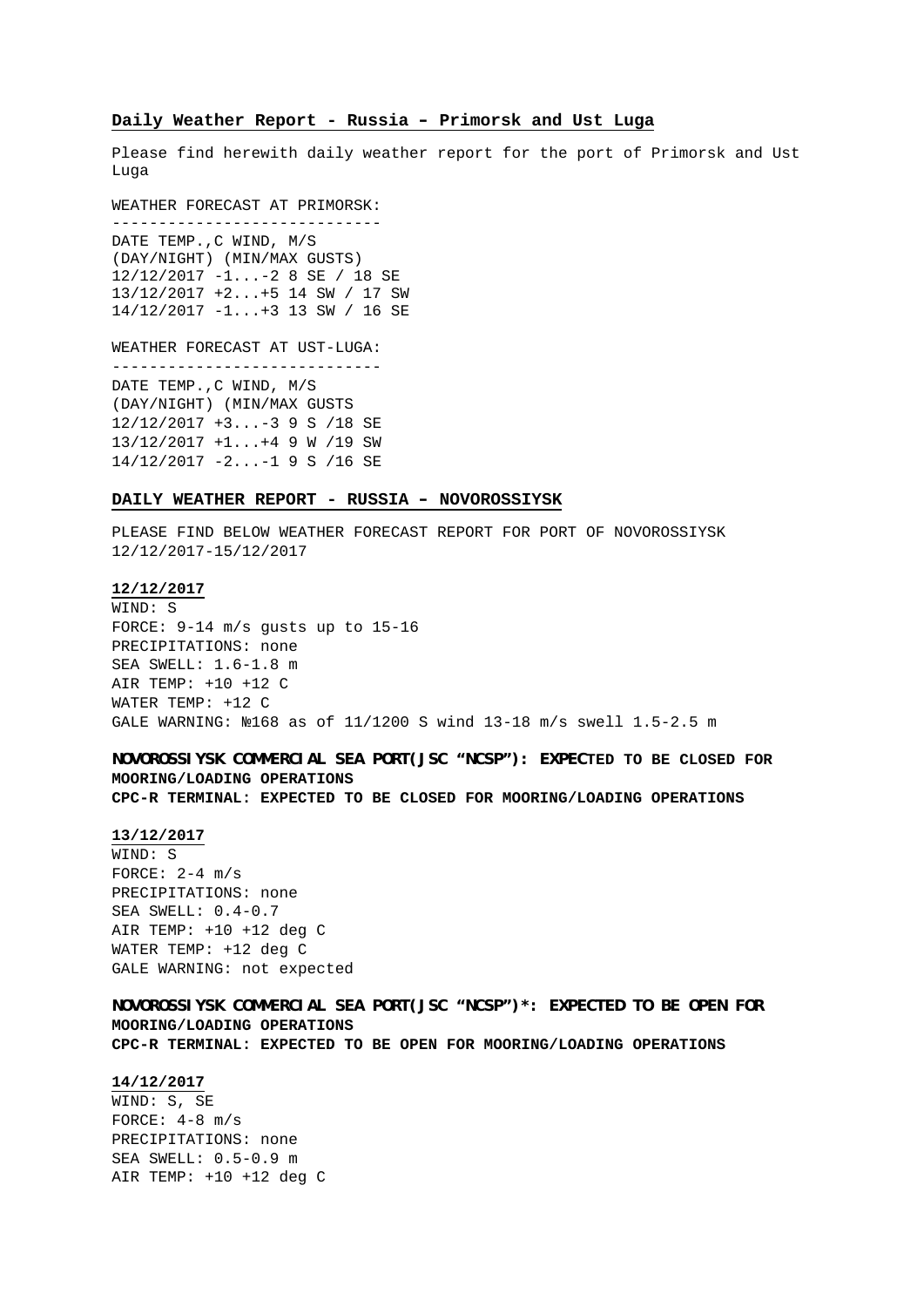## **Daily Weather Report - Russia – Primorsk and Ust Luga**

Please find herewith daily weather report for the port of Primorsk and Ust Luga

WEATHER FORECAST AT PRIMORSK: -----------------------------

DATE TEMP.,C WIND, M/S (DAY/NIGHT) (MIN/MAX GUSTS) 12/12/2017 -1...-2 8 SE / 18 SE 13/12/2017 +2...+5 14 SW / 17 SW 14/12/2017 -1...+3 13 SW / 16 SE

WEATHER FORECAST AT UST-LUGA: -----------------------------

DATE TEMP.,C WIND, M/S (DAY/NIGHT) (MIN/MAX GUSTS 12/12/2017 +3...-3 9 S /18 SE 13/12/2017 +1...+4 9 W /19 SW 14/12/2017 -2...-1 9 S /16 SE

### **DAILY WEATHER REPORT - RUSSIA – NOVOROSSIYSK**

PLEASE FIND BELOW WEATHER FORECAST REPORT FOR PORT OF NOVOROSSIYSK 12/12/2017-15/12/2017

## **12/12/2017**

WIND: S FORCE: 9-14 m/s gusts up to 15-16 PRECIPITATIONS: none SEA SWELL: 1.6-1.8 m AIR TEMP: +10 +12 C WATER TEMP: +12 C GALE WARNING: 168 as of 11/1200 S wind 13-18 m/s swell 1.5-2.5 m

**NOVOROSSIYSK COMMERCIAL SEA PORT(JSC "NCSP"): EXPECTED TO BE CLOSED FOR MOORING/LOADING OPERATIONS CPC-R TERMINAL: EXPECTED TO BE CLOSED FOR MOORING/LOADING OPERATIONS**

**13/12/2017**

WIND: S FORCE:  $2-4$  m/s PRECIPITATIONS: none SEA SWELL: 0.4-0.7 AIR TEMP: +10 +12 deg C WATER TEMP: +12 deg C GALE WARNING: not expected

**NOVOROSSIYSK COMMERCIAL SEA PORT(JSC "NCSP")\*: EXPECTED TO BE OPEN FOR MOORING/LOADING OPERATIONS CPC-R TERMINAL: EXPECTED TO BE OPEN FOR MOORING/LOADING OPERATIONS**

**14/12/2017**

WIND: S, SE FORCE:  $4-8$  m/s PRECIPITATIONS: none SEA SWELL: 0.5-0.9 m AIR TEMP: +10 +12 deg C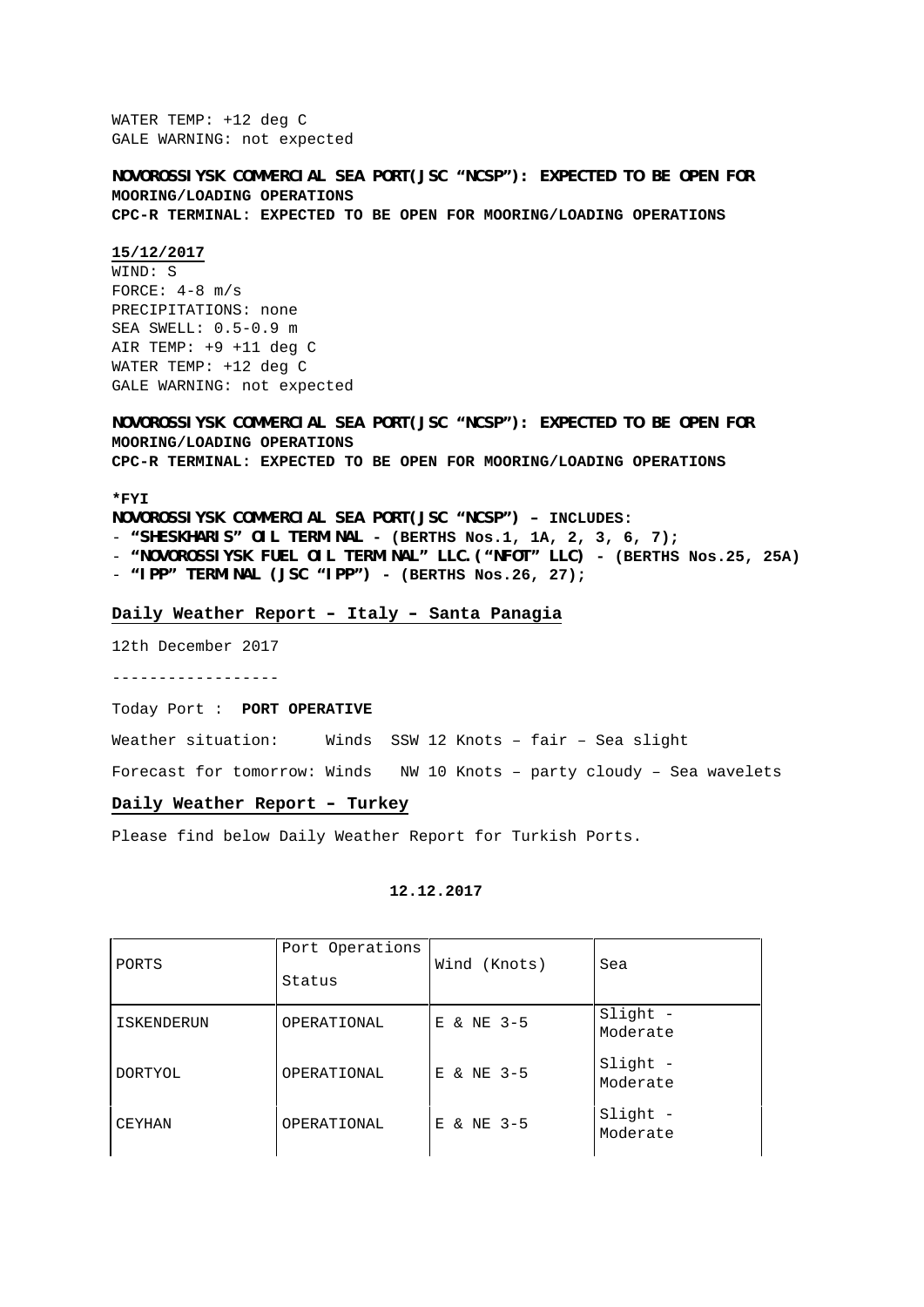WATER TEMP: +12 deg C GALE WARNING: not expected

**NOVOROSSIYSK COMMERCIAL SEA PORT(JSC "NCSP"): EXPECTED TO BE OPEN FOR MOORING/LOADING OPERATIONS CPC-R TERMINAL: EXPECTED TO BE OPEN FOR MOORING/LOADING OPERATIONS**

#### **15/12/2017**

WIND: S FORCE:  $4-8$  m/s PRECIPITATIONS: none SEA SWELL: 0.5-0.9 m AIR TEMP: +9 +11 deg C WATER TEMP: +12 deg C GALE WARNING: not expected

**NOVOROSSIYSK COMMERCIAL SEA PORT(JSC "NCSP"): EXPECTED TO BE OPEN FOR MOORING/LOADING OPERATIONS CPC-R TERMINAL: EXPECTED TO BE OPEN FOR MOORING/LOADING OPERATIONS**

## **\*FYI**

**NOVOROSSIYSK COMMERCIAL SEA PORT(JSC "NCSP") – INCLUDES:**

- **"SHESKHARIS" OIL TERMINAL - (BERTHS Nos.1, 1A, 2, 3, 6, 7);**

- **"NOVOROSSIYSK FUEL OIL TERMINAL" LLC.("NFOT" LLC) - (BERTHS Nos.25, 25A)**
- **"IPP" TERMINAL (JSC "IPP") - (BERTHS Nos.26, 27);**

## **Daily Weather Report – Italy – Santa Panagia**

12th December 2017

------------------

#### Today Port : **PORT OPERATIVE**

Weather situation: Winds SSW 12 Knots – fair – Sea slight

Forecast for tomorrow: Winds NW 10 Knots – party cloudy – Sea wavelets

## **Daily Weather Report – Turkey**

Please find below Daily Weather Report for Turkish Ports.

## **12.12.2017**

| PORTS      | Port Operations<br>Status | Wind (Knots)   | Sea                  |
|------------|---------------------------|----------------|----------------------|
| ISKENDERUN | OPERATIONAL               | & NE 3-5<br>E. | Slight -<br>Moderate |
| DORTYOL    | OPERATIONAL               | & NE 3-5<br>Е. | Slight -<br>Moderate |
| CEYHAN     | OPERATIONAL               | & NE 3-5<br>E. | Slight -<br>Moderate |